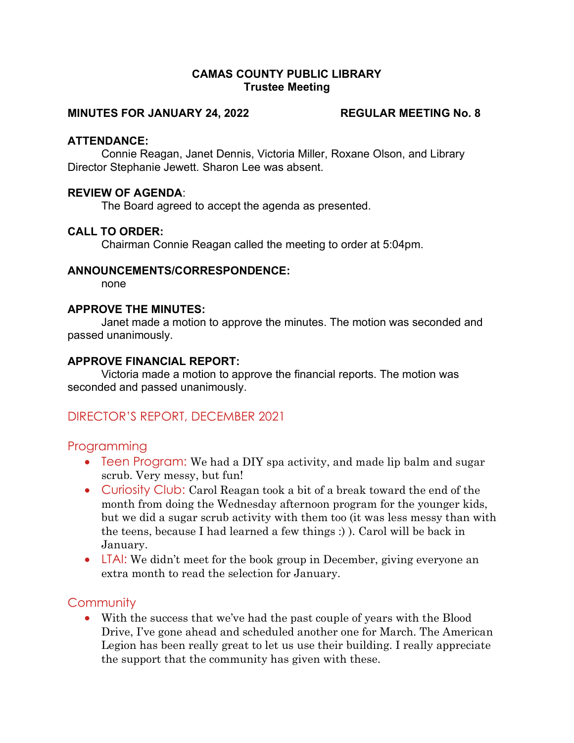#### CAMAS COUNTY PUBLIC LIBRARY Trustee Meeting

#### MINUTES FOR JANUARY 24, 2022 REGULAR MEETING No. 8

#### ATTENDANCE:

Connie Reagan, Janet Dennis, Victoria Miller, Roxane Olson, and Library Director Stephanie Jewett. Sharon Lee was absent.

#### REVIEW OF AGENDA:

The Board agreed to accept the agenda as presented.

### CALL TO ORDER:

Chairman Connie Reagan called the meeting to order at 5:04pm.

#### ANNOUNCEMENTS/CORRESPONDENCE:

none

#### APPROVE THE MINUTES:

Janet made a motion to approve the minutes. The motion was seconded and passed unanimously.

#### APPROVE FINANCIAL REPORT:

Victoria made a motion to approve the financial reports. The motion was seconded and passed unanimously.

# DIRECTOR'S REPORT, DECEMBER 2021

#### Programming

- Teen Program: We had a DIY spa activity, and made lip balm and sugar scrub. Very messy, but fun!
- Curiosity Club: Carol Reagan took a bit of a break toward the end of the month from doing the Wednesday afternoon program for the younger kids, but we did a sugar scrub activity with them too (it was less messy than with the teens, because I had learned a few things :) ). Carol will be back in January.
- LTAI: We didn't meet for the book group in December, giving everyone an extra month to read the selection for January.

## **Community**

 With the success that we've had the past couple of years with the Blood Drive, I've gone ahead and scheduled another one for March. The American Legion has been really great to let us use their building. I really appreciate the support that the community has given with these.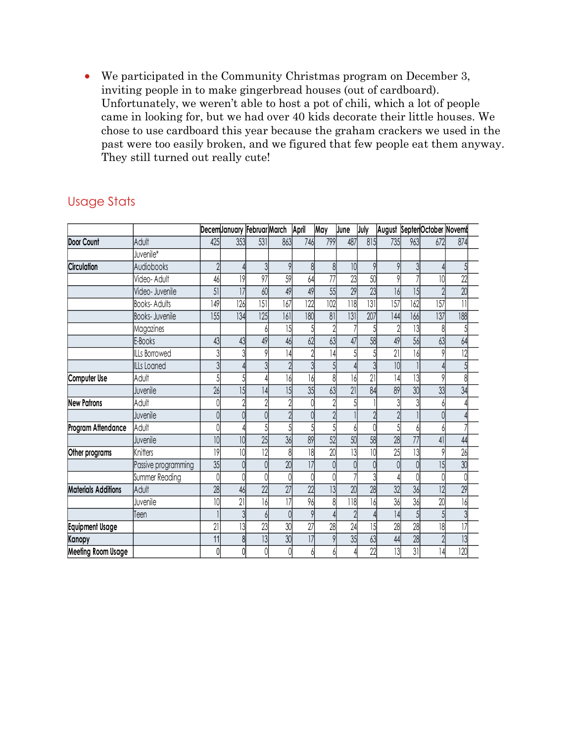We participated in the Community Christmas program on December 3, inviting people in to make gingerbread houses (out of cardboard). Unfortunately, we weren't able to host a pot of chili, which a lot of people came in looking for, but we had over 40 kids decorate their little houses. We chose to use cardboard this year because the graham crackers we used in the past were too easily broken, and we figured that few people eat them anyway. They still turned out really cute! • We participated in the Community Christmas program on December 3,<br>
inviting people in to make gingerbread houses (out of cardboard).<br>
Unfortunately, we weren't able to host a pot of hili, which a lot of people<br>
came in

|                            | We participated in the Community Christmas program on December 3,<br>inviting people in to make gingerbread houses (out of cardboard).<br>Unfortunately, we weren't able to host a pot of chili, which a lot of people<br>came in looking for, but we had over 40 kids decorate their little houses. We<br>chose to use cardboard this year because the graham crackers we used in the<br>past were too easily broken, and we figured that few people eat them anyway.<br>They still turned out really cute! |                      |                |                |                                  |            |                 |           |                      |                 |            |                              |                    |  |  |  |  |  |
|----------------------------|--------------------------------------------------------------------------------------------------------------------------------------------------------------------------------------------------------------------------------------------------------------------------------------------------------------------------------------------------------------------------------------------------------------------------------------------------------------------------------------------------------------|----------------------|----------------|----------------|----------------------------------|------------|-----------------|-----------|----------------------|-----------------|------------|------------------------------|--------------------|--|--|--|--|--|
| <b>Usage Stats</b>         |                                                                                                                                                                                                                                                                                                                                                                                                                                                                                                              |                      |                |                |                                  |            |                 |           |                      |                 |            |                              |                    |  |  |  |  |  |
|                            |                                                                                                                                                                                                                                                                                                                                                                                                                                                                                                              |                      |                |                | DecemJanuary Februar March April |            | May             | June      | July                 |                 |            | August Septen October Novemb |                    |  |  |  |  |  |
| Door Count                 | Adult                                                                                                                                                                                                                                                                                                                                                                                                                                                                                                        | 425                  | 353            | 531            | 863                              | 746        | 799             | 487       | 815                  | 735             | 963        | 672                          | 874                |  |  |  |  |  |
|                            | Juvenile*                                                                                                                                                                                                                                                                                                                                                                                                                                                                                                    |                      |                |                |                                  |            |                 |           |                      |                 |            |                              |                    |  |  |  |  |  |
| Circulation                | Audiobooks                                                                                                                                                                                                                                                                                                                                                                                                                                                                                                   |                      |                | $\mathcal{R}$  |                                  |            | 8               | 10        |                      |                 |            |                              |                    |  |  |  |  |  |
|                            | Video-Adult                                                                                                                                                                                                                                                                                                                                                                                                                                                                                                  | 46                   | 9              | 97             | 59                               |            | 77              | 23        | 50                   |                 |            |                              | 22                 |  |  |  |  |  |
|                            | Video- Juvenile                                                                                                                                                                                                                                                                                                                                                                                                                                                                                              | 51                   | 7              | 60             | 49                               | 49         | 55<br>102       | 29<br>118 | 23                   | 16              | 15         |                              | 20<br>$\mathbf{1}$ |  |  |  |  |  |
|                            | <b>Books-Adults</b><br>Books- Juvenile                                                                                                                                                                                                                                                                                                                                                                                                                                                                       | 149<br>155           | 126<br> 34     | 151<br>125     | $\overline{167}$<br> 6           | 122<br>180 | 81              |           | 3 <br>207            | 157<br> 44      | 162<br>166 | 157<br>$\overline{137}$      | 188                |  |  |  |  |  |
|                            |                                                                                                                                                                                                                                                                                                                                                                                                                                                                                                              |                      |                |                | $\overline{15}$                  |            |                 | 3         |                      |                 | 13         | 8                            |                    |  |  |  |  |  |
|                            | Magazines<br>E-Books                                                                                                                                                                                                                                                                                                                                                                                                                                                                                         | 43                   | 43             | 49             |                                  | 62         | 63              |           | 58                   | 49              | 56         | 63                           | 64                 |  |  |  |  |  |
|                            | ILLs Borrowed                                                                                                                                                                                                                                                                                                                                                                                                                                                                                                |                      |                |                |                                  |            | 14              |           |                      | 21              | 16         |                              |                    |  |  |  |  |  |
|                            | <b>ILLs Loaned</b>                                                                                                                                                                                                                                                                                                                                                                                                                                                                                           |                      |                |                |                                  |            |                 |           |                      | 10 <sup>1</sup> |            |                              |                    |  |  |  |  |  |
| Computer Use               | Adult                                                                                                                                                                                                                                                                                                                                                                                                                                                                                                        |                      |                |                | 16                               | 16         |                 | 16        | 21                   | 4               | 13         |                              |                    |  |  |  |  |  |
|                            | Juvenile                                                                                                                                                                                                                                                                                                                                                                                                                                                                                                     | 26                   | 15             | 4              | 15                               | 35         | 63              | 21        | 84                   | 89              | 30         | 33                           | 34                 |  |  |  |  |  |
| <b>New Patrons</b>         | Adult                                                                                                                                                                                                                                                                                                                                                                                                                                                                                                        |                      |                |                |                                  |            |                 |           |                      |                 |            |                              |                    |  |  |  |  |  |
|                            | Juvenile                                                                                                                                                                                                                                                                                                                                                                                                                                                                                                     |                      |                |                |                                  |            |                 |           |                      |                 |            |                              |                    |  |  |  |  |  |
| Program Attendance         | Adult                                                                                                                                                                                                                                                                                                                                                                                                                                                                                                        |                      |                |                |                                  |            |                 |           |                      |                 |            |                              |                    |  |  |  |  |  |
|                            | Juvenile                                                                                                                                                                                                                                                                                                                                                                                                                                                                                                     | 10 <sup>1</sup>      | 10             | 25             | 36                               | 89         | $\overline{52}$ | 50        | 58                   | 28              | 77         | 41                           |                    |  |  |  |  |  |
| Other programs             | Knitters                                                                                                                                                                                                                                                                                                                                                                                                                                                                                                     | $\overline{1}$<br> 9 | $\overline{0}$ | $\overline{2}$ | ∪∪                               |            | 20              | 13        | ◡<br>$\overline{10}$ | 25              | 13         |                              | דד<br>26           |  |  |  |  |  |
|                            |                                                                                                                                                                                                                                                                                                                                                                                                                                                                                                              | 35                   |                |                |                                  |            |                 |           |                      |                 |            | 15 <sup>1</sup>              | 30                 |  |  |  |  |  |
|                            | Passive programming<br>Summer Reading                                                                                                                                                                                                                                                                                                                                                                                                                                                                        |                      |                |                |                                  |            |                 |           |                      |                 |            |                              |                    |  |  |  |  |  |
| <b>Materials Additions</b> | Adult                                                                                                                                                                                                                                                                                                                                                                                                                                                                                                        | 28                   | 46             | 22             | 27                               | 22         | 3               | 20        | 28                   | 32              | 36         | 12                           | 29                 |  |  |  |  |  |
|                            | Juvenile                                                                                                                                                                                                                                                                                                                                                                                                                                                                                                     |                      | 21             | 16             |                                  | 96         |                 | 18        |                      | 36              | 36         | 20                           |                    |  |  |  |  |  |
|                            | Teen                                                                                                                                                                                                                                                                                                                                                                                                                                                                                                         |                      |                |                |                                  |            |                 |           |                      | 4               |            |                              |                    |  |  |  |  |  |
| <b>Equipment Usage</b>     |                                                                                                                                                                                                                                                                                                                                                                                                                                                                                                              | 21                   | 13             | 23             | 30                               | 27         | 28              | 24        | 15                   | 28              | 28         | 18                           | 17                 |  |  |  |  |  |
|                            |                                                                                                                                                                                                                                                                                                                                                                                                                                                                                                              | 11                   |                | 3              | 30                               |            |                 | 35        | 63                   | 44              | 28         |                              |                    |  |  |  |  |  |
| Kanopy                     |                                                                                                                                                                                                                                                                                                                                                                                                                                                                                                              |                      |                |                |                                  |            |                 |           | 22                   | 13              | 31         | 14                           | 13<br>120          |  |  |  |  |  |
| <b>Meeting Room Usage</b>  |                                                                                                                                                                                                                                                                                                                                                                                                                                                                                                              |                      |                |                |                                  |            |                 |           |                      |                 |            |                              |                    |  |  |  |  |  |

## Usage Stats